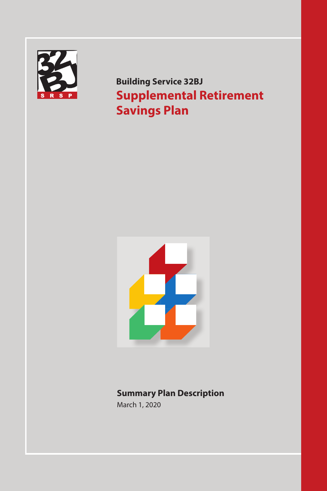

**Building Service 32BJ Supplemental Retirement Savings Plan**



# **Summary Plan Description**

March 1, 2020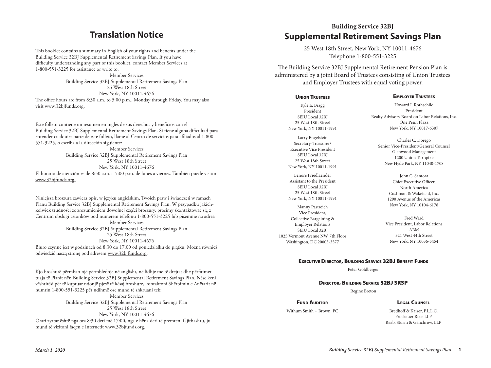# **Translation Notice**

This booklet contains a summary in English of your rights and benefits under the Building Service 32BJ Supplemental Retirement Savings Plan. If you have difficulty understanding any part of this booklet, contact Member Services at 1-800-551-3225 for assistance or write to:

Member Services Building Service 32BJ Supplemental Retirement Savings Plan 25 West 18th Street New York, NY 10011-4676 The office hours are from 8:30 a.m. to 5:00 p.m., Monday through Friday. You may also visit www.32bjfunds.org.

Este folleto contiene un resumen en inglés de sus derechos y beneficios con el Building Service 32BJ Supplemental Retirement Savings Plan. Si tiene alguna dificultad para entender cualquier parte de este folleto, llame al Centro de servicios para afiliados al 1-800- 551-3225, o escriba a la dirección siguiente:

Member Services Building Service 32BJ Supplemental Retirement Savings Plan 25 West 18th Street New York, NY 10011-4676 El horario de atención es de 8:30 a.m. a 5:00 p.m. de lunes a viernes. También puede visitor www.32bjfunds.org.

Niniejsza broszura zawiera opis, w języku angielskim, Twoich praw i świadczeń w ramach Planu Building Service 32BJ Supplemental Retirement Savings Plan. W przypadku jakichkolwiek trudności ze zrozumieniem dowolnej części broszury, prosimy skontaktować się z Centrum obsługi członków pod numerem telefonu 1-800-551-3225 lub pisemnie na adres: Member Services Building Service 32BJ Supplemental Retirement Savings Plan 25 West 18th Street New York, NY 10011-4676 Biuro czynne jest w godzinach od 8:30 do 17:00 od poniedziałku do piątku. Można również odwiedzić naszą stronę pod adresem www.32bjfunds.org.

Kjo broshurë përmban një përmbledhje në anglisht, në lidhje me të drejtat dhe përfitimet tuaja të Planit nën Building Service 32BJ Supplemental Retirement Savings Plan. Nëse keni vështirësi për të kuptuar ndonjë pjesë të kësaj broshure, kontaktoni Shërbimin e Anëtarit në numrin 1-800-551-3225 për ndihmë ose mund të shkruani tek: Member Services Building Service 32BJ Supplemental Retirement Savings Plan 25 West 18th Street New York, NY 10011-4676 Orari zyrtar është nga ora 8:30 deri më 17:00, nga e hëna deri të premten. Gjithashtu, ju mund të vizitoni faqen e Internetit www.32bjfunds.org.

# **Building Service 32BJ Sunding Scritte 52B,**<br>Supplemental Retirement Savings Plan

25 West 18th Street, New York, NY 10011-4676 Telephone 1-800-551-3225

The Building Service 32BJ Supplemental Retirement Pension Plan is administered by a joint Board of Trustees consisting of Union Trustees **Member Services** and Employer Trustees with equal voting power.

# **UNION TRUSTEES**

#### Kyle E. Bragg President SEIU Local 32BJ 25 West 18th Street New York, NY 10011-1991

Larry Engelstein Secretary-Treasurer/ Executive Vice President SEIU Local 32BJ 25 West 18th Street New York, NY 10011-1991

Lenore Friedlaender Assistant to the President SEIU Local 32BJ 25 West 18th Street New York, NY 10011-1991

Manny Pastreich Vice President, Collective Bargaining & Employer Relations SEIU Local 32BJ 1025 Vermont Avenue NW, 7th Floor Washington, DC 20005-3577

#### Employer Trustees

Howard I. Rothschild President Realty Advisory Board on Labor Relations, Inc. One Penn Plaza New York, NY 10017-6307

Charles C. Dorego Senior Vice-President/General Counsel Glenwood Management 1200 Union Turnpike New Hyde Park, NY 11040-1708

> John C. Santora Chief Executive Officer, North America Cushman & Wakefield, Inc. 1290 Avenue of the Americas New York, NY 10104-6178

Fred Ward Vice President, Labor Relations ABM 321 West 44th Street New York, NY 10036-5454

#### Executive Director, Building Service 32BJ Benefit Funds

Peter Goldberger

#### Director, Building Service 32BJ SRSP

Regine Breton

#### Legal Counsel

**FUND AUDITOR** Withum Smith + Brown, PC

Bredhoff & Kaiser, P.L.L.C. Proskauer Rose LLP Raab, Sturm & Ganchrow, LLP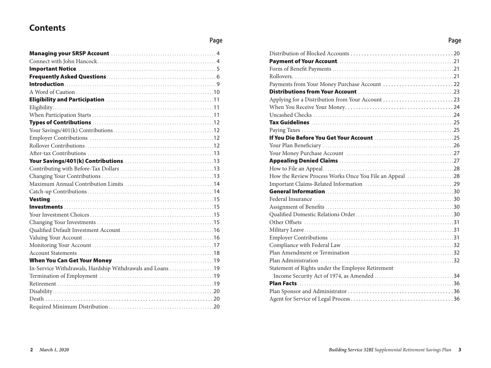# **Contents**

## **Page**

| In-Service Withdrawals, Hardship Withdrawals and Loans 19 |  |
|-----------------------------------------------------------|--|
|                                                           |  |
|                                                           |  |
|                                                           |  |
|                                                           |  |
|                                                           |  |

| Applying for a Distribution from Your Account 23        |  |
|---------------------------------------------------------|--|
|                                                         |  |
|                                                         |  |
|                                                         |  |
|                                                         |  |
|                                                         |  |
|                                                         |  |
|                                                         |  |
|                                                         |  |
|                                                         |  |
| How the Review Process Works Once You File an Appeal 28 |  |
|                                                         |  |
|                                                         |  |
|                                                         |  |
|                                                         |  |
|                                                         |  |
|                                                         |  |
|                                                         |  |
|                                                         |  |
|                                                         |  |
|                                                         |  |
|                                                         |  |
| Statement of Rights under the Employee Retirement       |  |
|                                                         |  |
|                                                         |  |
|                                                         |  |
|                                                         |  |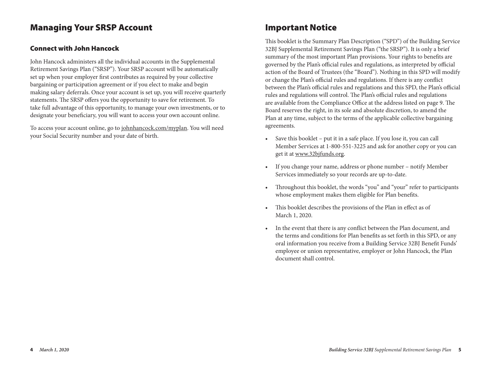# Managing Your SRSP Account

## Connect with John Hancock

John Hancock administers all the individual accounts in the Supplemental Retirement Savings Plan ("SRSP"). Your SRSP account will be automatically set up when your employer first contributes as required by your collective bargaining or participation agreement or if you elect to make and begin making salary deferrals. Once your account is set up, you will receive quarterly statements. The SRSP offers you the opportunity to save for retirement. To take full advantage of this opportunity, to manage your own investments, or to designate your beneficiary, you will want to access your own account online.

To access your account online, go to johnhancock.com/myplan. You will need your Social Security number and your date of birth.

# Important Notice

This booklet is the Summary Plan Description ("SPD") of the Building Service 32BJ Supplemental Retirement Savings Plan ("the SRSP"). It is only a brief summary of the most important Plan provisions. Your rights to benefits are governed by the Plan's official rules and regulations, as interpreted by official action of the Board of Trustees (the "Board"). Nothing in this SPD will modify or change the Plan's official rules and regulations. If there is any conflict between the Plan's official rules and regulations and this SPD, the Plan's official rules and regulations will control. The Plan's official rules and regulations are available from the Compliance Office at the address listed on page 9. The Board reserves the right, in its sole and absolute discretion, to amend the Plan at any time, subject to the terms of the applicable collective bargaining agreements.

- Save this booklet put it in a safe place. If you lose it, you can call Member Services at 1-800-551-3225 and ask for another copy or you can get it at www.32bjfunds.org.
- If you change your name, address or phone number notify Member Services immediately so your records are up-to-date.
- Throughout this booklet, the words "you" and "your" refer to participants whose employment makes them eligible for Plan benefits.
- This booklet describes the provisions of the Plan in effect as of March 1, 2020.
- In the event that there is any conflict between the Plan document, and the terms and conditions for Plan benefits as set forth in this SPD, or any oral information you receive from a Building Service 32BJ Benefit Funds' employee or union representative, employer or John Hancock, the Plan document shall control.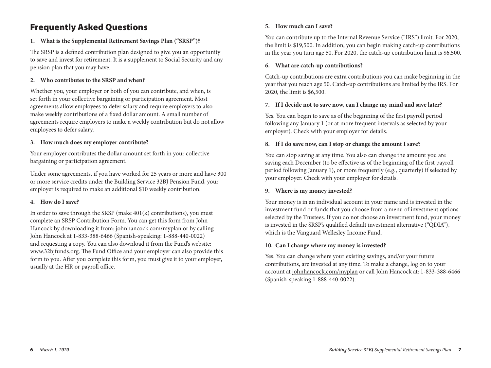# Frequently Asked Questions

## **1. What is the Supplemental Retirement Savings Plan ("SRSP")?**

The SRSP is a defined contribution plan designed to give you an opportunity to save and invest for retirement. It is a supplement to Social Security and any pension plan that you may have.

### **2. Who contributes to the SRSP and when?**

Whether you, your employer or both of you can contribute, and when, is set forth in your collective bargaining or participation agreement. Most agreements allow employees to defer salary and require employers to also make weekly contributions of a fixed dollar amount. A small number of agreements require employers to make a weekly contribution but do not allow employees to defer salary.

### **3. How much does my employer contribute?**

Your employer contributes the dollar amount set forth in your collective bargaining or participation agreement.

Under some agreements, if you have worked for 25 years or more and have 300 or more service credits under the Building Service 32BJ Pension Fund, your employer is required to make an additional \$10 weekly contribution.

### **4. How do I save?**

In order to save through the SRSP (make 401(k) contributions), you must complete an SRSP Contribution Form. You can get this form from John Hancock by downloading it from: johnhancock.com/myplan or by calling John Hancock at 1-833-388-6466 (Spanish-speaking: 1-888-440-0022) and requesting a copy. You can also download it from the Fund's website: www.32bjfunds.org. The Fund Office and your employer can also provide this form to you. After you complete this form, you must give it to your employer, usually at the HR or payroll office.

### **5. How much can I save?**

You can contribute up to the Internal Revenue Service ("IRS") limit. For 2020, the limit is \$19,500. In addition, you can begin making catch-up contributions in the year you turn age 50. For 2020, the catch-up contribution limit is \$6,500.

### **6. What are catch-up contributions?**

Catch-up contributions are extra contributions you can make beginning in the year that you reach age 50. Catch-up contributions are limited by the IRS. For 2020, the limit is \$6,500.

### **7. If I decide not to save now, can I change my mind and save later?**

Yes. You can begin to save as of the beginning of the first payroll period following any January 1 (or at more frequent intervals as selected by your employer). Check with your employer for details.

### **8. If I do save now, can I stop or change the amount I save?**

You can stop saving at any time. You also can change the amount you are saving each December (to be effective as of the beginning of the first payroll period following January 1), or more frequently (e.g., quarterly) if selected by your employer. Check with your employer for details.

### **9. Where is my money invested?**

Your money is in an individual account in your name and is invested in the investment fund or funds that you choose from a menu of investment options selected by the Trustees. If you do not choose an investment fund, your money is invested in the SRSP's qualified default investment alternative ("QDIA"), which is the Vanguard Wellesley Income Fund.

### 1**0. Can I change where my money is invested?**

Yes. You can change where your existing savings, and/or your future contributions, are invested at any time. To make a change, log on to your account at johnhancock.com/myplan or call John Hancock at: 1-833-388-6466 (Spanish-speaking 1-888-440-0022).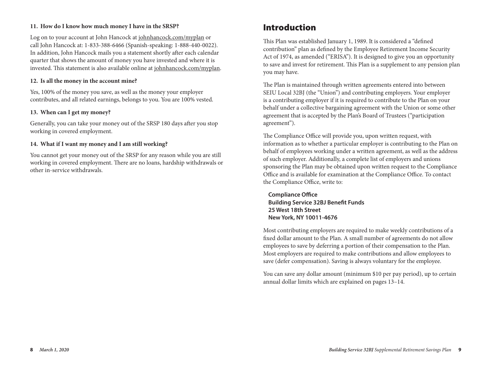### **11. How do I know how much money I have in the SRSP?**

Log on to your account at John Hancock at johnhancock.com/myplan or call John Hancock at: 1-833-388-6466 (Spanish-speaking: 1-888-440-0022). In addition, John Hancock mails you a statement shortly after each calendar quarter that shows the amount of money you have invested and where it is invested. This statement is also available online at johnhancock.com/myplan.

#### **12. Is all the money in the account mine?**

Yes, 100% of the money you save, as well as the money your employer contributes, and all related earnings, belongs to you. You are 100% vested.

#### **13. When can I get my money?**

Generally, you can take your money out of the SRSP 180 days after you stop working in covered employment.

### **14. What if I want my money and I am still working?**

You cannot get your money out of the SRSP for any reason while you are still working in covered employment. There are no loans, hardship withdrawals or other in-service withdrawals.

# Introduction

This Plan was established January 1, 1989. It is considered a "defined contribution" plan as defined by the Employee Retirement Income Security Act of 1974, as amended ("ERISA"). It is designed to give you an opportunity to save and invest for retirement. This Plan is a supplement to any pension plan you may have.

The Plan is maintained through written agreements entered into between SEIU Local 32BJ (the "Union") and contributing employers. Your employer is a contributing employer if it is required to contribute to the Plan on your behalf under a collective bargaining agreement with the Union or some other agreement that is accepted by the Plan's Board of Trustees ("participation agreement").

The Compliance Office will provide you, upon written request, with information as to whether a particular employer is contributing to the Plan on behalf of employees working under a written agreement, as well as the address of such employer. Additionally, a complete list of employers and unions sponsoring the Plan may be obtained upon written request to the Compliance Office and is available for examination at the Compliance Office. To contact the Compliance Office, write to:

**Compliance Office Building Service 32BJ Benefit Funds 25 West 18th Street New York, NY 10011-4676**

Most contributing employers are required to make weekly contributions of a fixed dollar amount to the Plan. A small number of agreements do not allow employees to save by deferring a portion of their compensation to the Plan. Most employers are required to make contributions and allow employees to save (defer compensation). Saving is always voluntary for the employee.

You can save any dollar amount (minimum \$10 per pay period), up to certain annual dollar limits which are explained on pages 13–14.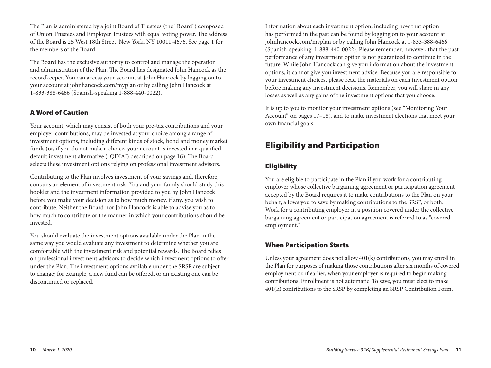The Plan is administered by a joint Board of Trustees (the "Board") composed of Union Trustees and Employer Trustees with equal voting power. The address of the Board is 25 West 18th Street, New York, NY 10011-4676. See page 1 for the members of the Board.

The Board has the exclusive authority to control and manage the operation and administration of the Plan. The Board has designated John Hancock as the recordkeeper. You can access your account at John Hancock by logging on to your account at johnhancock.com/myplan or by calling John Hancock at 1-833-388-6466 (Spanish-speaking 1-888-440-0022).

## A Word of Caution

Your account, which may consist of both your pre-tax contributions and your employer contributions, may be invested at your choice among a range of investment options, including different kinds of stock, bond and money market funds (or, if you do not make a choice, your account is invested in a qualified default investment alternative ("QDIA") described on page 16). The Board selects these investment options relying on professional investment advisors.

Contributing to the Plan involves investment of your savings and, therefore, contains an element of investment risk. You and your family should study this booklet and the investment information provided to you by John Hancock before you make your decision as to how much money, if any, you wish to contribute. Neither the Board nor John Hancock is able to advise you as to how much to contribute or the manner in which your contributions should be invested.

You should evaluate the investment options available under the Plan in the same way you would evaluate any investment to determine whether you are comfortable with the investment risk and potential rewards. The Board relies on professional investment advisors to decide which investment options to offer under the Plan. The investment options available under the SRSP are subject to change; for example, a new fund can be offered, or an existing one can be discontinued or replaced.

Information about each investment option, including how that option has performed in the past can be found by logging on to your account at johnhancock.com/myplan or by calling John Hancock at 1-833-388-6466 (Spanish-speaking: 1-888-440-0022). Please remember, however, that the past performance of any investment option is not guaranteed to continue in the future. While John Hancock can give you information about the investment options, it cannot give you investment advice. Because you are responsible for your investment choices, please read the materials on each investment option before making any investment decisions. Remember, you will share in any losses as well as any gains of the investment options that you choose.

It is up to you to monitor your investment options (see "Monitoring Your Account" on pages 17-18), and to make investment elections that meet your own financial goals.

# Eligibility and Participation

# Eligibility

You are eligible to participate in the Plan if you work for a contributing employer whose collective bargaining agreement or participation agreement accepted by the Board requires it to make contributions to the Plan on your behalf, allows you to save by making contributions to the SRSP, or both. Work for a contributing employer in a position covered under the collective bargaining agreement or participation agreement is referred to as "covered employment."

# When Participation Starts

Unless your agreement does not allow 401(k) contributions, you may enroll in the Plan for purposes of making those contributions after six months of covered employment or, if earlier, when your employer is required to begin making contributions. Enrollment is not automatic. To save, you must elect to make 401(k) contributions to the SRSP by completing an SRSP Contribution Form,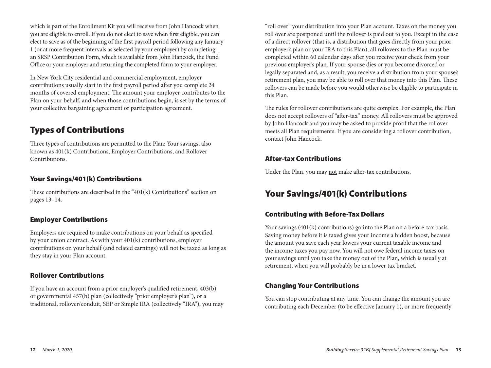which is part of the Enrollment Kit you will receive from John Hancock when you are eligible to enroll. If you do not elect to save when first eligible, you can elect to save as of the beginning of the first payroll period following any January 1 (or at more frequent intervals as selected by your employer) by completing an SRSP Contribution Form, which is available from John Hancock, the Fund Office or your employer and returning the completed form to your employer.

In New York City residential and commercial employment, employer contributions usually start in the first payroll period after you complete 24 months of covered employment. The amount your employer contributes to the Plan on your behalf, and when those contributions begin, is set by the terms of your collective bargaining agreement or participation agreement.

# Types of Contributions

Three types of contributions are permitted to the Plan: Your savings, also known as 401(k) Contributions, Employer Contributions, and Rollover Contributions.

# Your Savings/401(k) Contributions

These contributions are described in the "401(k) Contributions" section on pages 13–14.

# Employer Contributions

Employers are required to make contributions on your behalf as specified by your union contract. As with your 401(k) contributions, employer contributions on your behalf (and related earnings) will not be taxed as long as they stay in your Plan account.

## Rollover Contributions

If you have an account from a prior employer's qualified retirement, 403(b) or governmental 457(b) plan (collectively "prior employer's plan"), or a traditional, rollover/conduit, SEP or Simple IRA (collectively "IRA"), you may

"roll over" your distribution into your Plan account. Taxes on the money you roll over are postponed until the rollover is paid out to you. Except in the case of a direct rollover (that is, a distribution that goes directly from your prior employer's plan or your IRA to this Plan), all rollovers to the Plan must be completed within 60 calendar days after you receive your check from your previous employer's plan. If your spouse dies or you become divorced or legally separated and, as a result, you receive a distribution from your spouse's retirement plan, you may be able to roll over that money into this Plan. These rollovers can be made before you would otherwise be eligible to participate in this Plan.

The rules for rollover contributions are quite complex. For example, the Plan does not accept rollovers of "after-tax" money. All rollovers must be approved by John Hancock and you may be asked to provide proof that the rollover meets all Plan requirements. If you are considering a rollover contribution, contact John Hancock.

# After-tax Contributions

Under the Plan, you may not make after-tax contributions.

# Your Savings/401(k) Contributions

# Contributing with Before-Tax Dollars

Your savings (401(k) contributions) go into the Plan on a before-tax basis. Saving money before it is taxed gives your income a hidden boost, because the amount you save each year lowers your current taxable income and the income taxes you pay now. You will not owe federal income taxes on your savings until you take the money out of the Plan, which is usually at retirement, when you will probably be in a lower tax bracket.

# Changing Your Contributions

You can stop contributing at any time. You can change the amount you are contributing each December (to be effective January 1), or more frequently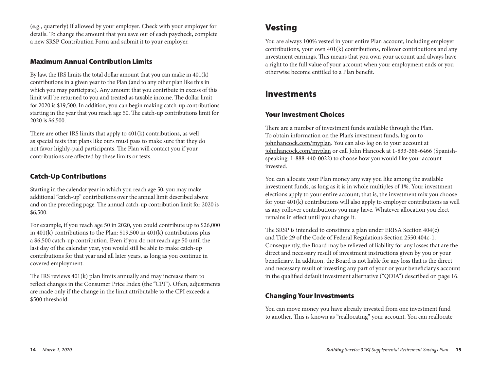(e.g., quarterly) if allowed by your employer. Check with your employer for details. To change the amount that you save out of each paycheck, complete a new SRSP Contribution Form and submit it to your employer.

## Maximum Annual Contribution Limits

By law, the IRS limits the total dollar amount that you can make in 401(k) contributions in a given year to the Plan (and to any other plan like this in which you may participate). Any amount that you contribute in excess of this limit will be returned to you and treated as taxable income. The dollar limit for 2020 is \$19,500. In addition, you can begin making catch-up contributions starting in the year that you reach age 50. The catch-up contributions limit for 2020 is \$6,500.

There are other IRS limits that apply to 401(k) contributions, as well as special tests that plans like ours must pass to make sure that they do not favor highly-paid participants. The Plan will contact you if your contributions are affected by these limits or tests.

# Catch-Up Contributions

Starting in the calendar year in which you reach age 50, you may make additional "catch-up" contributions over the annual limit described above and on the preceding page. The annual catch-up contribution limit for 2020 is \$6,500.

For example, if you reach age 50 in 2020, you could contribute up to \$26,000 in 401(k) contributions to the Plan: \$19,500 in 401(k) contributions plus a \$6,500 catch-up contribution. Even if you do not reach age 50 until the last day of the calendar year, you would still be able to make catch-up contributions for that year and all later years, as long as you continue in covered employment.

The IRS reviews 401(k) plan limits annually and may increase them to reflect changes in the Consumer Price Index (the "CPI"). Often, adjustments are made only if the change in the limit attributable to the CPI exceeds a \$500 threshold.

# Vesting

You are always 100% vested in your entire Plan account, including employer contributions, your own 401(k) contributions, rollover contributions and any investment earnings. This means that you own your account and always have a right to the full value of your account when your employment ends or you otherwise become entitled to a Plan benefit.

# Investments

## Your Investment Choices

There are a number of investment funds available through the Plan. To obtain information on the Plan's investment funds, log on to johnhancock.com/myplan. You can also log on to your account at johnhancock.com/myplan or call John Hancock at 1-833-388-6466 (Spanishspeaking: 1-888-440-0022) to choose how you would like your account invested.

You can allocate your Plan money any way you like among the available investment funds, as long as it is in whole multiples of 1%. Your investment elections apply to your entire account; that is, the investment mix you choose for your 401(k) contributions will also apply to employer contributions as well as any rollover contributions you may have. Whatever allocation you elect remains in effect until you change it.

The SRSP is intended to constitute a plan under ERISA Section 404(c) and Title 29 of the Code of Federal Regulations Section 2550.404c-1. Consequently, the Board may be relieved of liability for any losses that are the direct and necessary result of investment instructions given by you or your beneficiary. In addition, the Board is not liable for any loss that is the direct and necessary result of investing any part of your or your beneficiary's account in the qualified default investment alternative ("QDIA") described on page 16.

## Changing Your Investments

You can move money you have already invested from one investment fund to another. This is known as "reallocating" your account. You can reallocate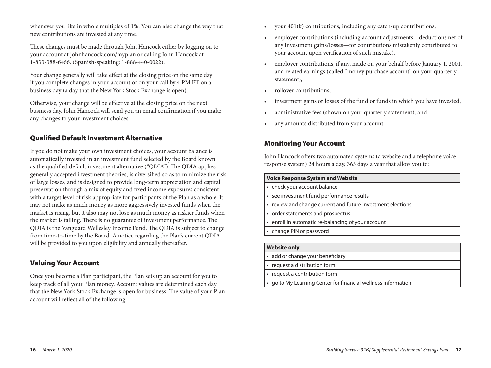whenever you like in whole multiples of 1%. You can also change the way that new contributions are invested at any time.

These changes must be made through John Hancock either by logging on to your account at johnhancock.com/myplan or calling John Hancock at 1-833-388-6466. (Spanish-speaking: 1-888-440-0022).

Your change generally will take effect at the closing price on the same day if you complete changes in your account or on your call by 4 PM ET on a business day (a day that the New York Stock Exchange is open).

Otherwise, your change will be effective at the closing price on the next business day. John Hancock will send you an email confirmation if you make any changes to your investment choices.

## Qualified Default Investment Alternative

If you do not make your own investment choices, your account balance is automatically invested in an investment fund selected by the Board known as the qualified default investment alternative ("QDIA"). The QDIA applies generally accepted investment theories, is diversified so as to minimize the risk of large losses, and is designed to provide long-term appreciation and capital preservation through a mix of equity and fixed income exposures consistent with a target level of risk appropriate for participants of the Plan as a whole. It may not make as much money as more aggressively invested funds when the market is rising, but it also may not lose as much money as riskier funds when the market is falling. There is no guarantee of investment performance. The QDIA is the Vanguard Wellesley Income Fund. The QDIA is subject to change from time-to-time by the Board. A notice regarding the Plan's current QDIA will be provided to you upon eligibility and annually thereafter.

### Valuing Your Account

Once you become a Plan participant, the Plan sets up an account for you to keep track of all your Plan money. Account values are determined each day that the New York Stock Exchange is open for business. The value of your Plan account will reflect all of the following:

- your 401(k) contributions, including any catch-up contributions,
- employer contributions (including account adjustments—deductions net of any investment gains/losses—for contributions mistakenly contributed to your account upon verification of such mistake),
- employer contributions, if any, made on your behalf before January 1, 2001, and related earnings (called "money purchase account" on your quarterly statement),
- rollover contributions,
- investment gains or losses of the fund or funds in which you have invested,
- administrative fees (shown on your quarterly statement), and
- any amounts distributed from your account.

## Monitoring Your Account

John Hancock offers two automated systems (a website and a telephone voice response system) 24 hours a day, 365 days a year that allow you to:

#### **Voice Response System and Website**

- check your account balance
- see investment fund performance results
- review and change current and future investment elections
- order statements and prospectus
- enroll in automatic re-balancing of your account
- change PIN or password

#### **Website only**

- add or change your beneficiary
- request a distribution form
- request a contribution form
- go to My Learning Center for financial wellness information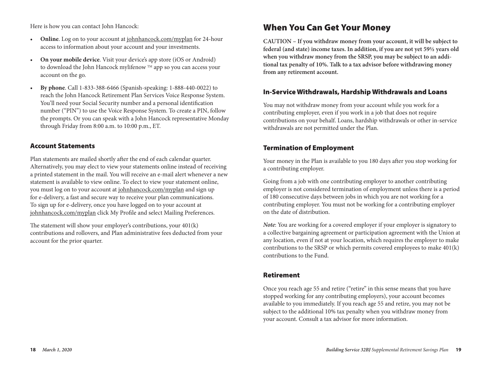Here is how you can contact John Hancock:

- **Online**. Log on to your account at johnhancock.com/myplan for 24-hour access to information about your account and your investments.
- **On your mobile device**. Visit your device's app store (iOS or Android) to download the John Hancock mylifenow ™ app so you can access your account on the go.
- **By phone**. Call 1-833-388-6466 (Spanish-speaking: 1-888-440-0022) to reach the John Hancock Retirement Plan Services Voice Response System. You'll need your Social Security number and a personal identification number ("PIN") to use the Voice Response System. To create a PIN, follow the prompts. Or you can speak with a John Hancock representative Monday through Friday from 8:00 a.m. to 10:00 p.m., ET.

## Account Statements

Plan statements are mailed shortly after the end of each calendar quarter. Alternatively, you may elect to view your statements online instead of receiving a printed statement in the mail. You will receive an e-mail alert whenever a new statement is available to view online. To elect to view your statement online, you must log on to your account at johnhancock.com/myplan and sign up for e-delivery, a fast and secure way to receive your plan communications. To sign up for e-delivery, once you have logged on to your account at johnhancock.com/myplan click My Profile and select Mailing Preferences.

The statement will show your employer's contributions, your 401(k) contributions and rollovers, and Plan administrative fees deducted from your account for the prior quarter.

# When You Can Get Your Money

**CAUTION – If you withdraw money from your account, it will be subject to federal (and state) income taxes. In addition, if you are not yet 59½ years old when you withdraw money from the SRSP, you may be subject to an additional tax penalty of 10%. Talk to a tax advisor before withdrawing money from any retirement account.**

### In-Service Withdrawals, Hardship Withdrawals and Loans

You may not withdraw money from your account while you work for a contributing employer, even if you work in a job that does not require contributions on your behalf. Loans, hardship withdrawals or other in-service withdrawals are not permitted under the Plan.

### Termination of Employment

Your money in the Plan is available to you 180 days after you stop working for a contributing employer.

Going from a job with one contributing employer to another contributing employer is not considered termination of employment unless there is a period of 180 consecutive days between jobs in which you are not working for a contributing employer. You must not be working for a contributing employer on the date of distribution.

*Note*: You are working for a covered employer if your employer is signatory to a collective bargaining agreement or participation agreement with the Union at any location, even if not at your location, which requires the employer to make contributions to the SRSP or which permits covered employees to make 401(k) contributions to the Fund.

### Retirement

Once you reach age 55 and retire ("retire" in this sense means that you have stopped working for any contributing employers), your account becomes available to you immediately. If you reach age 55 and retire, you may not be subject to the additional 10% tax penalty when you withdraw money from your account. Consult a tax advisor for more information.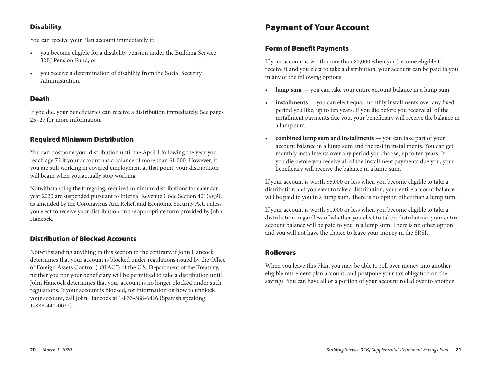# **Disability**

You can receive your Plan account immediately if:

- you become eligible for a disability pension under the Building Service 32BJ Pension Fund, or
- you receive a determination of disability from the Social Security Administration.

## Death

If you die, your beneficiaries can receive a distribution immediately. See pages 25–27 for more information.

## Required Minimum Distribution

You can postpone your distribution until the April 1 following the year you reach age 72 if your account has a balance of more than \$1,000. However, if you are still working in covered employment at that point, your distribution will begin when you actually stop working.

Notwithstanding the foregoing, required minimum distributions for calendar year 2020 are suspended pursuant to Internal Revenue Code Section 401(a)(9), as amended by the Coronavirus Aid, Relief, and Economic Security Act, unless you elect to receive your distribution on the appropriate form provided by John Hancock.

# Distribution of Blocked Accounts

Notwithstanding anything in this section to the contrary, if John Hancock determines that your account is blocked under regulations issued by the Office of Foreign Assets Control ("OFAC") of the U.S. Department of the Treasury, neither you nor your beneficiary will be permitted to take a distribution until John Hancock determines that your account is no longer blocked under such regulations. If your account is blocked, for information on how to unblock your account, call John Hancock at 1-833-388-6466 (Spanish speaking: 1-888-440-0022).

# Payment of Your Account

## Form of Benefit Payments

If your account is worth more than \$5,000 when you become eligible to receive it and you elect to take a distribution, your account can be paid to you in any of the following options:

- **lump sum** you can take your entire account balance in a lump sum.
- **installments** you can elect equal monthly installments over any fixed period you like, up to ten years. If you die before you receive all of the installment payments due you, your beneficiary will receive the balance in a lump sum.
- **combined lump sum and installments** you can take part of your account balance in a lump sum and the rest in installments. You can get monthly installments over any period you choose, up to ten years. If you die before you receive all of the installment payments due you, your beneficiary will receive the balance in a lump sum.

If your account is worth \$5,000 or less when you become eligible to take a distribution and you elect to take a distribution, your entire account balance will be paid to you in a lump sum. There is no option other than a lump sum.

If your account is worth \$1,000 or less when you become eligible to take a distribution, regardless of whether you elect to take a distribution, your entire account balance will be paid to you in a lump sum. There is no other option and you will not have the choice to leave your money in the SRSP.

# Rollovers

When you leave this Plan, you may be able to roll over money into another eligible retirement plan account, and postpone your tax obligation on the savings. You can have all or a portion of your account rolled over to another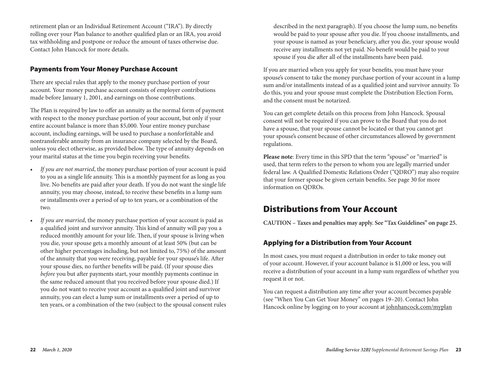retirement plan or an Individual Retirement Account ("IRA"). By directly rolling over your Plan balance to another qualified plan or an IRA, you avoid tax withholding and postpone or reduce the amount of taxes otherwise due. Contact John Hancock for more details.

## Payments from Your Money Purchase Account

There are special rules that apply to the money purchase portion of your account. Your money purchase account consists of employer contributions made before January 1, 2001, and earnings on those contributions.

The Plan is required by law to offer an annuity as the normal form of payment with respect to the money purchase portion of your account, but only if your entire account balance is more than \$5,000. Your entire money purchase account, including earnings, will be used to purchase a nonforfeitable and nontransferable annuity from an insurance company selected by the Board, unless you elect otherwise, as provided below. The type of annuity depends on your marital status at the time you begin receiving your benefits.

- *If you are not married*, the money purchase portion of your account is paid to you as a single life annuity. This is a monthly payment for as long as you live. No benefits are paid after your death. If you do not want the single life annuity, you may choose, instead, to receive these benefits in a lump sum or installments over a period of up to ten years, or a combination of the two.
- *If you are married*, the money purchase portion of your account is paid as a qualified joint and survivor annuity. This kind of annuity will pay you a reduced monthly amount for your life. Then, if your spouse is living when you die, your spouse gets a monthly amount of at least 50% (but can be other higher percentages including, but not limited to, 75%) of the amount of the annuity that you were receiving, payable for your spouse's life. After your spouse dies, no further benefits will be paid. (If your spouse dies *before* you but after payments start, your monthly payments continue in the same reduced amount that you received before your spouse died.) If you do not want to receive your account as a qualified joint and survivor annuity, you can elect a lump sum or installments over a period of up to ten years, or a combination of the two (subject to the spousal consent rules

described in the next paragraph). If you choose the lump sum, no benefits would be paid to your spouse after you die. If you choose installments, and your spouse is named as your beneficiary, after you die, your spouse would receive any installments not yet paid. No benefit would be paid to your spouse if you die after all of the installments have been paid.

If you are married when you apply for your benefits, you must have your spouse's consent to take the money purchase portion of your account in a lump sum and/or installments instead of as a qualified joint and survivor annuity. To do this, you and your spouse must complete the Distribution Election Form, and the consent must be notarized.

You can get complete details on this process from John Hancock. Spousal consent will not be required if you can prove to the Board that you do not have a spouse, that your spouse cannot be located or that you cannot get your spouse's consent because of other circumstances allowed by government regulations.

**Please note**: Every time in this SPD that the term "spouse" or "married" is used, that term refers to the person to whom you are legally married under federal law. A Qualified Domestic Relations Order ("QDRO") may also require that your former spouse be given certain benefits. See page 30 for more information on QDROs.

# Distributions from Your Account

**CAUTION – Taxes and penalties may apply. See "Tax Guidelines" on page 25.**

# Applying for a Distribution from Your Account

In most cases, you must request a distribution in order to take money out of your account. However, if your account balance is \$1,000 or less, you will receive a distribution of your account in a lump sum regardless of whether you request it or not.

You can request a distribution any time after your account becomes payable (see "When You Can Get Your Money" on pages 19–20). Contact John Hancock online by logging on to your account at johnhancock.com/myplan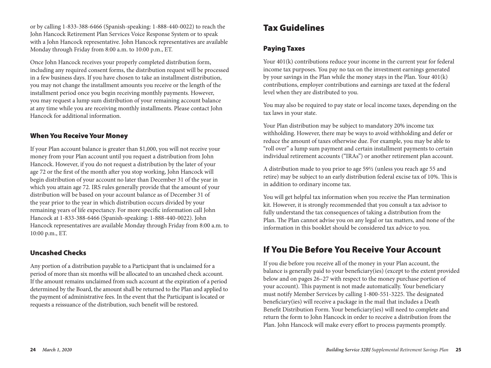or by calling 1-833-388-6466 (Spanish-speaking: 1-888-440-0022) to reach the John Hancock Retirement Plan Services Voice Response System or to speak with a John Hancock representative. John Hancock representatives are available Monday through Friday from 8:00 a.m. to 10:00 p.m., ET.

Once John Hancock receives your properly completed distribution form, including any required consent forms, the distribution request will be processed in a few business days. If you have chosen to take an installment distribution, you may not change the installment amounts you receive or the length of the installment period once you begin receiving monthly payments. However, you may request a lump sum distribution of your remaining account balance at any time while you are receiving monthly installments. Please contact John Hancock for additional information.

# When You Receive Your Money

If your Plan account balance is greater than \$1,000, you will not receive your money from your Plan account until you request a distribution from John Hancock. However, if you do not request a distribution by the later of your age 72 or the first of the month after you stop working, John Hancock will begin distribution of your account no later than December 31 of the year in which you attain age 72. IRS rules generally provide that the amount of your distribution will be based on your account balance as of December 31 of the year prior to the year in which distribution occurs divided by your remaining years of life expectancy. For more specific information call John Hancock at 1-833-388-6466 (Spanish-speaking: 1-888-440-0022). John Hancock representatives are available Monday through Friday from 8:00 a.m. to 10:00 p.m., ET.

# Uncashed Checks

Any portion of a distribution payable to a Participant that is unclaimed for a period of more than six months will be allocated to an uncashed check account. If the amount remains unclaimed from such account at the expiration of a period determined by the Board, the amount shall be returned to the Plan and applied to the payment of administrative fees. In the event that the Participant is located or requests a reissuance of the distribution, such benefit will be restored.

# Tax Guidelines

# Paying Taxes

Your 401(k) contributions reduce your income in the current year for federal income tax purposes. You pay no tax on the investment earnings generated by your savings in the Plan while the money stays in the Plan. Your 401(k) contributions, employer contributions and earnings are taxed at the federal level when they are distributed to you.

You may also be required to pay state or local income taxes, depending on the tax laws in your state.

Your Plan distribution may be subject to mandatory 20% income tax withholding. However, there may be ways to avoid withholding and defer or reduce the amount of taxes otherwise due. For example, you may be able to "roll over" a lump sum payment and certain installment payments to certain individual retirement accounts ("IRAs") or another retirement plan account.

A distribution made to you prior to age 59½ (unless you reach age 55 and retire) may be subject to an early distribution federal excise tax of 10%. This is in addition to ordinary income tax.

You will get helpful tax information when you receive the Plan termination kit. However, it is strongly recommended that you consult a tax advisor to fully understand the tax consequences of taking a distribution from the Plan. The Plan cannot advise you on any legal or tax matters, and none of the information in this booklet should be considered tax advice to you.

# If You Die Before You Receive Your Account

If you die before you receive all of the money in your Plan account, the balance is generally paid to your beneficiary(ies) (except to the extent provided below and on pages 26–27 with respect to the money purchase portion of your account). This payment is not made automatically. Your beneficiary must notify Member Services by calling 1-800-551-3225. The designated beneficiary(ies) will receive a package in the mail that includes a Death Benefit Distribution Form. Your beneficiary(ies) will need to complete and return the form to John Hancock in order to receive a distribution from the Plan. John Hancock will make every effort to process payments promptly.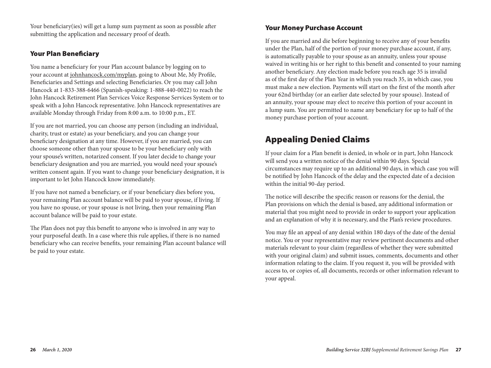Your beneficiary(ies) will get a lump sum payment as soon as possible after submitting the application and necessary proof of death.

# Your Plan Beneficiary

You name a beneficiary for your Plan account balance by logging on to your account at johnhancock.com/myplan, going to About Me, My Profile, Beneficiaries and Settings and selecting Beneficiaries. Or you may call John Hancock at 1-833-388-6466 (Spanish-speaking: 1-888-440-0022) to reach the John Hancock Retirement Plan Services Voice Response Services System or to speak with a John Hancock representative. John Hancock representatives are available Monday through Friday from 8:00 a.m. to 10:00 p.m., ET.

If you are not married, you can choose any person (including an individual, charity, trust or estate) as your beneficiary, and you can change your beneficiary designation at any time. However, if you are married, you can choose someone other than your spouse to be your beneficiary only with your spouse's written, notarized consent. If you later decide to change your beneficiary designation and you are married, you would need your spouse's written consent again. If you want to change your beneficiary designation, it is important to let John Hancock know immediately.

If you have not named a beneficiary, or if your beneficiary dies before you, your remaining Plan account balance will be paid to your spouse, if living. If you have no spouse, or your spouse is not living, then your remaining Plan account balance will be paid to your estate.

The Plan does not pay this benefit to anyone who is involved in any way to your purposeful death. In a case where this rule applies, if there is no named beneficiary who can receive benefits, your remaining Plan account balance will be paid to your estate.

## Your Money Purchase Account

If you are married and die before beginning to receive any of your benefits under the Plan, half of the portion of your money purchase account, if any, is automatically payable to your spouse as an annuity, unless your spouse waived in writing his or her right to this benefit and consented to your naming another beneficiary. Any election made before you reach age 35 is invalid as of the first day of the Plan Year in which you reach 35, in which case, you must make a new election. Payments will start on the first of the month after your 62nd birthday (or an earlier date selected by your spouse). Instead of an annuity, your spouse may elect to receive this portion of your account in a lump sum. You are permitted to name any beneficiary for up to half of the money purchase portion of your account.

# Appealing Denied Claims

If your claim for a Plan benefit is denied, in whole or in part, John Hancock will send you a written notice of the denial within 90 days. Special circumstances may require up to an additional 90 days, in which case you will be notified by John Hancock of the delay and the expected date of a decision within the initial 90-day period.

The notice will describe the specific reason or reasons for the denial, the Plan provisions on which the denial is based, any additional information or material that you might need to provide in order to support your application and an explanation of why it is necessary, and the Plan's review procedures.

You may file an appeal of any denial within 180 days of the date of the denial notice. You or your representative may review pertinent documents and other materials relevant to your claim (regardless of whether they were submitted with your original claim) and submit issues, comments, documents and other information relating to the claim. If you request it, you will be provided with access to, or copies of, all documents, records or other information relevant to your appeal.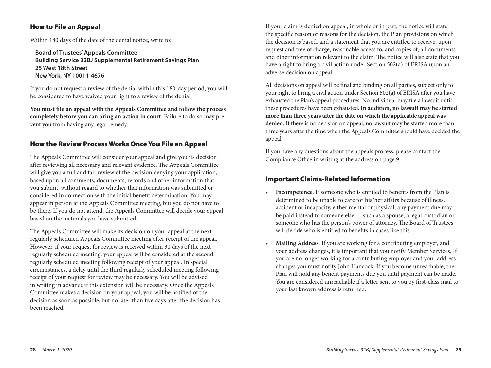## How to File an Appeal

Within 180 days of the date of the denial notice, write to:

**Board of Trustees' Appeals Committee Building Service 32BJ Supplemental Retirement Savings Plan 25 West 18th Street New York, NY 10011-4676**

If you do not request a review of the denial within this 180-day period, you will be considered to have waived your right to a review of the denial.

**You must file an appeal with the Appeals Committee and follow the process completely before you can bring an action in court**. Failure to do so may prevent you from having any legal remedy.

# How the Review Process Works Once You File an Appeal

The Appeals Committee will consider your appeal and give you its decision after reviewing all necessary and relevant evidence. The Appeals Committee will give you a full and fair review of the decision denying your application, based upon all comments, documents, records and other information that you submit, without regard to whether that information was submitted or considered in connection with the initial benefit determination. You may appear in person at the Appeals Committee meeting, but you do not have to be there. If you do not attend, the Appeals Committee will decide your appeal based on the materials you have submitted.

The Appeals Committee will make its decision on your appeal at the next regularly scheduled Appeals Committee meeting after receipt of the appeal. However, if your request for review is received within 30 days of the next regularly scheduled meeting, your appeal will be considered at the second regularly scheduled meeting following receipt of your appeal. In special circumstances, a delay until the third regularly scheduled meeting following receipt of your request for review may be necessary. You will be advised in writing in advance if this extension will be necessary. Once the Appeals Committee makes a decision on your appeal, you will be notified of the decision as soon as possible, but no later than five days after the decision has been reached.

If your claim is denied on appeal, in whole or in part, the notice will state the specific reason or reasons for the decision, the Plan provisions on which the decision is based, and a statement that you are entitled to receive, upon request and free of charge, reasonable access to, and copies of, all documents and other information relevant to the claim. The notice will also state that you have a right to bring a civil action under Section 502(a) of ERISA upon an adverse decision on appeal.

All decisions on appeal will be final and binding on all parties, subject only to your right to bring a civil action under Section 502(a) of ERISA after you have exhausted the Plan's appeal procedures. No individual may file a lawsuit until these procedures have been exhausted. **In addition, no lawsuit may be started more than three years after the date on which the applicable appeal was denied.** If there is no decision on appeal, no lawsuit may be started more than three years after the time when the Appeals Committee should have decided the appeal.

If you have any questions about the appeals process, please contact the Compliance Office in writing at the address on page 9.

## Important Claims-Related Information

- **Incompetence**. If someone who is entitled to benefits from the Plan is determined to be unable to care for his/her affairs because of illness, accident or incapacity, either mental or physical, any payment due may be paid instead to someone else — such as a spouse, a legal custodian or someone who has the person's power of attorney. The Board of Trustees will decide who is entitled to benefits in cases like this.
- **Mailing Address**. If you are working for a contributing employer, and your address changes, it is important that you notify Member Services. If you are no longer working for a contributing employer and your address changes you must notify John Hancock. If you become unreachable, the Plan will hold any benefit payments due you until payment can be made. You are considered unreachable if a letter sent to you by first-class mail to your last known address is returned.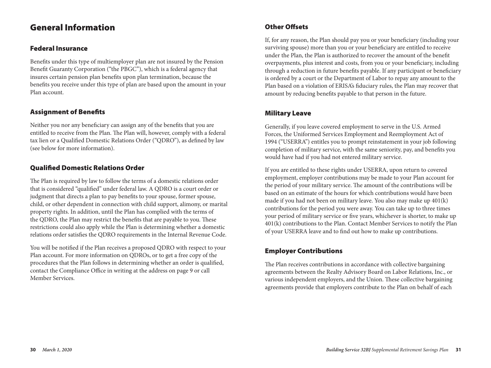# General Information

## Federal Insurance

Benefits under this type of multiemployer plan are not insured by the Pension Benefit Guaranty Corporation ("the PBGC"), which is a federal agency that insures certain pension plan benefits upon plan termination, because the benefits you receive under this type of plan are based upon the amount in your Plan account.

# Assignment of Benefits

Neither you nor any beneficiary can assign any of the benefits that you are entitled to receive from the Plan. The Plan will, however, comply with a federal tax lien or a Qualified Domestic Relations Order ("QDRO"), as defined by law (see below for more information).

# Qualified Domestic Relations Order

The Plan is required by law to follow the terms of a domestic relations order that is considered "qualified" under federal law. A QDRO is a court order or judgment that directs a plan to pay benefits to your spouse, former spouse, child, or other dependent in connection with child support, alimony, or marital property rights. In addition, until the Plan has complied with the terms of the QDRO, the Plan may restrict the benefits that are payable to you. These restrictions could also apply while the Plan is determining whether a domestic relations order satisfies the QDRO requirements in the Internal Revenue Code.

You will be notified if the Plan receives a proposed QDRO with respect to your Plan account. For more information on QDROs, or to get a free copy of the procedures that the Plan follows in determining whether an order is qualified, contact the Compliance Office in writing at the address on page 9 or call Member Services.

# Other Offsets

If, for any reason, the Plan should pay you or your beneficiary (including your surviving spouse) more than you or your beneficiary are entitled to receive under the Plan, the Plan is authorized to recover the amount of the benefit overpayments, plus interest and costs, from you or your beneficiary, including through a reduction in future benefits payable. If any participant or beneficiary is ordered by a court or the Department of Labor to repay any amount to the Plan based on a violation of ERISA's fiduciary rules, the Plan may recover that amount by reducing benefits payable to that person in the future.

# Military Leave

Generally, if you leave covered employment to serve in the U.S. Armed Forces, the Uniformed Services Employment and Reemployment Act of 1994 ("USERRA") entitles you to prompt reinstatement in your job following completion of military service, with the same seniority, pay, and benefits you would have had if you had not entered military service.

If you are entitled to these rights under USERRA, upon return to covered employment, employer contributions may be made to your Plan account for the period of your military service. The amount of the contributions will be based on an estimate of the hours for which contributions would have been made if you had not been on military leave. You also may make up 401(k) contributions for the period you were away. You can take up to three times your period of military service or five years, whichever is shorter, to make up 401(k) contributions to the Plan. Contact Member Services to notify the Plan of your USERRA leave and to find out how to make up contributions.

# Employer Contributions

The Plan receives contributions in accordance with collective bargaining agreements between the Realty Advisory Board on Labor Relations, Inc., or various independent employers, and the Union. These collective bargaining agreements provide that employers contribute to the Plan on behalf of each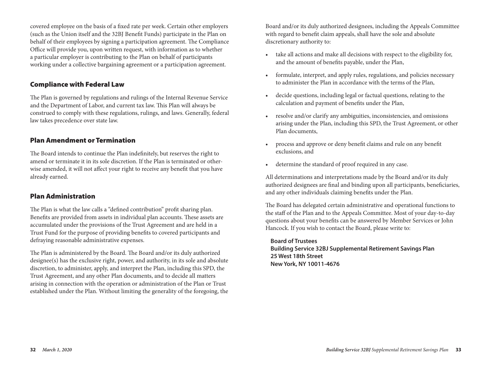covered employee on the basis of a fixed rate per week. Certain other employers (such as the Union itself and the 32BJ Benefit Funds) participate in the Plan on behalf of their employees by signing a participation agreement. The Compliance Office will provide you, upon written request, with information as to whether a particular employer is contributing to the Plan on behalf of participants working under a collective bargaining agreement or a participation agreement.

## Compliance with Federal Law

The Plan is governed by regulations and rulings of the Internal Revenue Service and the Department of Labor, and current tax law. This Plan will always be construed to comply with these regulations, rulings, and laws. Generally, federal law takes precedence over state law.

### Plan Amendment or Termination

The Board intends to continue the Plan indefinitely, but reserves the right to amend or terminate it in its sole discretion. If the Plan is terminated or otherwise amended, it will not affect your right to receive any benefit that you have already earned.

### Plan Administration

The Plan is what the law calls a "defined contribution" profit sharing plan. Benefits are provided from assets in individual plan accounts. These assets are accumulated under the provisions of the Trust Agreement and are held in a Trust Fund for the purpose of providing benefits to covered participants and defraying reasonable administrative expenses.

The Plan is administered by the Board. The Board and/or its duly authorized designee(s) has the exclusive right, power, and authority, in its sole and absolute discretion, to administer, apply, and interpret the Plan, including this SPD, the Trust Agreement, and any other Plan documents, and to decide all matters arising in connection with the operation or administration of the Plan or Trust established under the Plan. Without limiting the generality of the foregoing, the Board and/or its duly authorized designees, including the Appeals Committee with regard to benefit claim appeals, shall have the sole and absolute discretionary authority to:

- take all actions and make all decisions with respect to the eligibility for, and the amount of benefits payable, under the Plan,
- formulate, interpret, and apply rules, regulations, and policies necessary to administer the Plan in accordance with the terms of the Plan,
- decide questions, including legal or factual questions, relating to the calculation and payment of benefits under the Plan,
- resolve and/or clarify any ambiguities, inconsistencies, and omissions arising under the Plan, including this SPD, the Trust Agreement, or other Plan documents,
- process and approve or deny benefit claims and rule on any benefit exclusions, and
- determine the standard of proof required in any case.

All determinations and interpretations made by the Board and/or its duly authorized designees are final and binding upon all participants, beneficiaries, and any other individuals claiming benefits under the Plan.

The Board has delegated certain administrative and operational functions to the staff of the Plan and to the Appeals Committee. Most of your day-to-day questions about your benefits can be answered by Member Services or John Hancock. If you wish to contact the Board, please write to:

### **Board of Trustees**

**Building Service 32BJ Supplemental Retirement Savings Plan 25 West 18th Street New York, NY 10011-4676**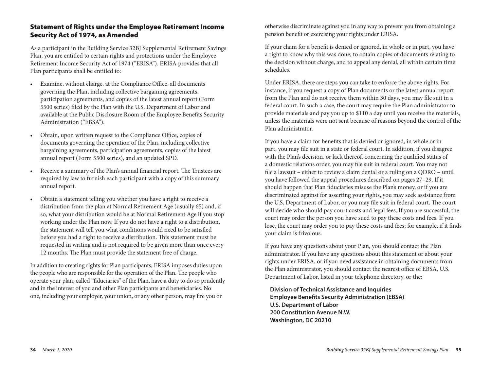## Statement of Rights under the Employee Retirement Income Security Act of 1974, as Amended

As a participant in the Building Service 32BJ Supplemental Retirement Savings Plan, you are entitled to certain rights and protections under the Employee Retirement Income Security Act of 1974 ("ERISA"). ERISA provides that all Plan participants shall be entitled to:

- Examine, without charge, at the Compliance Office, all documents governing the Plan, including collective bargaining agreements, participation agreements, and copies of the latest annual report (Form 5500 series) filed by the Plan with the U.S. Department of Labor and available at the Public Disclosure Room of the Employee Benefits Security Administration ("EBSA").
- Obtain, upon written request to the Compliance Office, copies of documents governing the operation of the Plan, including collective bargaining agreements, participation agreements, copies of the latest annual report (Form 5500 series), and an updated SPD.
- Receive a summary of the Plan's annual financial report. The Trustees are required by law to furnish each participant with a copy of this summary annual report.
- Obtain a statement telling you whether you have a right to receive a distribution from the plan at Normal Retirement Age (usually 65) and, if so, what your distribution would be at Normal Retirement Age if you stop working under the Plan now. If you do not have a right to a distribution, the statement will tell you what conditions would need to be satisfied before you had a right to receive a distribution. This statement must be requested in writing and is not required to be given more than once every 12 months. The Plan must provide the statement free of charge.

In addition to creating rights for Plan participants, ERISA imposes duties upon the people who are responsible for the operation of the Plan. The people who operate your plan, called "fiduciaries" of the Plan, have a duty to do so prudently and in the interest of you and other Plan participants and beneficiaries. No one, including your employer, your union, or any other person, may fire you or

otherwise discriminate against you in any way to prevent you from obtaining a pension benefit or exercising your rights under ERISA.

If your claim for a benefit is denied or ignored, in whole or in part, you have a right to know why this was done, to obtain copies of documents relating to the decision without charge, and to appeal any denial, all within certain time schedules.

Under ERISA, there are steps you can take to enforce the above rights. For instance, if you request a copy of Plan documents or the latest annual report from the Plan and do not receive them within 30 days, you may file suit in a federal court. In such a case, the court may require the Plan administrator to provide materials and pay you up to \$110 a day until you receive the materials, unless the materials were not sent because of reasons beyond the control of the Plan administrator.

If you have a claim for benefits that is denied or ignored, in whole or in part, you may file suit in a state or federal court. In addition, if you disagree with the Plan's decision, or lack thereof, concerning the qualified status of a domestic relations order, you may file suit in federal court. You may not file a lawsuit – either to review a claim denial or a ruling on a QDRO – until you have followed the appeal procedures described on pages 27–29. If it should happen that Plan fiduciaries misuse the Plan's money, or if you are discriminated against for asserting your rights, you may seek assistance from the U.S. Department of Labor, or you may file suit in federal court. The court will decide who should pay court costs and legal fees. If you are successful, the court may order the person you have sued to pay these costs and fees. If you lose, the court may order you to pay these costs and fees; for example, if it finds your claim is frivolous.

If you have any questions about your Plan, you should contact the Plan administrator. If you have any questions about this statement or about your rights under ERISA, or if you need assistance in obtaining documents from the Plan administrator, you should contact the nearest office of EBSA, U.S. Department of Labor, listed in your telephone directory, or the:

**Division of Technical Assistance and Inquiries Employee Benefits Security Administration (EBSA) U.S. Department of Labor 200 Constitution Avenue N.W. Washington, DC 20210**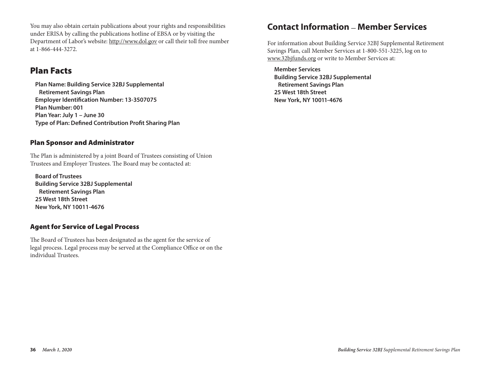You may also obtain certain publications about your rights and responsibilities **Translation Notice** under ERISA by calling the publications hotline of EBSA or by visiting the Department of Labor's website: http://www.dol.gov or call their toll free number at  $1-866-444-3272$ .

#### Plan Facts Building Service 32BJ Supplemental Retirement Savings Plan

Plan Name: Building Service 32BJ Supplemental **Retirement Savings Plan Employer Identification Number: 13-3507075 Plan Number: 001 Plan Year: July 1 – June 30** rian rear. <sub>July T</sub> – Julie 30<br>Type of Plan: Defined Contribution Profit Sharing Plan New York, NY 10011-4676 Type of Plan: Defined Contribution Profit Sharing Plan

## Plan Sponsor and Administrator

The Plan is administered by a joint Board of Trustees consisting of Union Trustees and Employer Trustees. The Board may be contacted at: Il dolces and Employer Trastées. The Doard may be contacted al.

**Board of Trustees Building Service 32BJ Supplemental Retirement Savings Plan <b>Riniejsza bronz**ura zawiera opis. W języku angielskim praw i świadczeń w ramach praw i **25 West 18th Street** 32BJ Supplemental Retiremental Retiremental Retiremental Retiremental Retiremental Retiremental Retiremental Retiremental Retiremental Retiremental Retiremental Retiremental Retiremental Retiremental **New York, NY 10011-4676** CENTRUM OBSŁUGI CZŁONKÓW POD NUMEREM TELEFONU 1-800-551-3225 LUB pisamnie na adresse na adresse na adresse na

#### Agent for Service of Legal Process r **Legai Proce**

The Board of Trustees has been designated as the agent for the service of legal process. Legal process may be served at the Compliance Office or on the individual Trustees. The Board of Trustees has been designated as the agent for the service

# **Contact Information \_ Member Services**

For information about Building Service 32BJ Supplemental Retirement Savings Plan, call Member Services at 1-800-551-3225, log on to www.32bjfunds.org or write to Member Services at:

**Member Services Building Service 32BJ Supplemental Retirement Savings Plan 25 West 18th Street New York, NY 10011-4676**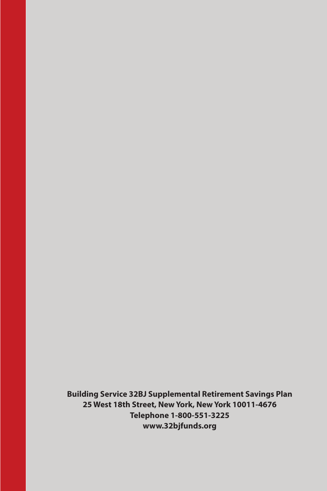**Building Service 32BJ Supplemental Retirement Savings Plan 25 West 18th Street, New York, New York 10011-4676 Telephone 1-800-551-3225 www.32bjfunds.org**